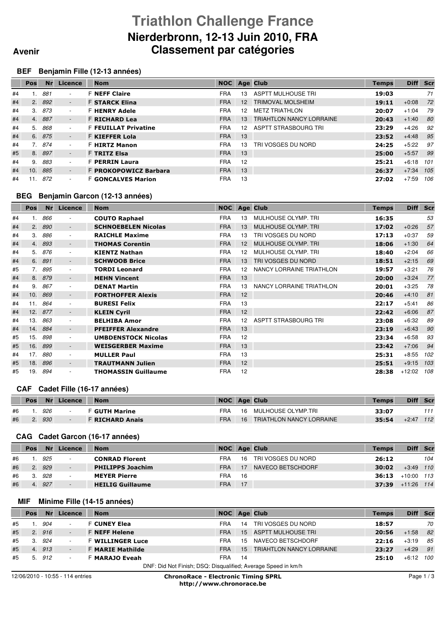### **Avenir**

# **Triathlon Challenge France Nierderbronn, 12-13 Juin 2010, FRA Classement par catégories**

## **BEF Benjamin Fille (12-13 années)**

|    | <b>Pos</b> | <b>Nr</b> | Licence                  | <b>Nom</b>                  |            |                 | <b>NOC</b> Age Club             | <b>Temps</b> | Diff Scr |     |
|----|------------|-----------|--------------------------|-----------------------------|------------|-----------------|---------------------------------|--------------|----------|-----|
| #4 |            | 881       | $\overline{\phantom{a}}$ | <b>F NEFF Claire</b>        | <b>FRA</b> | 13              | <b>ASPTT MULHOUSE TRI</b>       | 19:03        |          | 71  |
| #4 |            | 2. 892    | $\sim$                   | <b>F STARCK Elina</b>       | <b>FRA</b> | 12 <sup>2</sup> | <b>TRIMOVAL MOLSHEIM</b>        | 19:11        | $+0:08$  | 72  |
| #4 | 3.         | 873       | $\sim$                   | <b>F HENRY Adele</b>        | <b>FRA</b> | 12              | <b>METZ TRIATHLON</b>           | 20:07        | $+1:04$  | 79  |
| #4 |            | 4. 887    | $\overline{\phantom{a}}$ | <b>F RICHARD Lea</b>        | <b>FRA</b> | 13              | <b>TRIAHTLON NANCY LORRAINE</b> | 20:43        | $+1:40$  | -80 |
| #4 | 5.         | 868       | $\overline{\phantom{a}}$ | <b>F FEUILLAT Privatine</b> | <b>FRA</b> | 12              | ASPTT STRASBOURG TRI            | 23:29        | $+4:26$  | 92  |
| #4 |            | 6. 875    | $\sim$                   | <b>F KIEFFER Lola</b>       | <b>FRA</b> | 13              |                                 | 23:52        | $+4:48$  | 95  |
| #4 | 7.         | 874       | $\overline{\phantom{a}}$ | <b>F HIRTZ Manon</b>        | <b>FRA</b> | 13              | TRI VOSGES DU NORD              | 24:25        | $+5:22$  | 97  |
| #5 |            | 8. 897    | $\sim$                   | F TRITZ Elsa                | <b>FRA</b> | 13              |                                 | 25:00        | $+5:57$  | 99  |
| #4 | 9.         | 883       | $\overline{\phantom{a}}$ | <b>F PERRIN Laura</b>       | <b>FRA</b> | 12              |                                 | 25:21        | $+6:18$  | 101 |
| #4 | 10.        | 885       | $\overline{\phantom{a}}$ | F PROKOPOWICZ Barbara       | <b>FRA</b> | 13              |                                 | 26:37        | $+7:34$  | 105 |
| #4 | 11.        | 872       | $\overline{\phantom{a}}$ | <b>F GONCALVES Marion</b>   | <b>FRA</b> | 13              |                                 | 27:02        | $+7:59$  | 106 |

## **BEG Benjamin Garcon (12-13 années)**

|    | Pos | <b>Nr</b> | Licence                  | <b>Nom</b>                 | <b>NOC</b> |    | <b>Age Club</b>            | <b>Temps</b> | <b>Diff</b> | <b>Scr</b> |
|----|-----|-----------|--------------------------|----------------------------|------------|----|----------------------------|--------------|-------------|------------|
| #4 | 1.  | 866       | ٠                        | <b>COUTO Raphael</b>       | <b>FRA</b> | 13 | MULHOUSE OLYMP. TRI        | 16:35        |             | 53         |
| #4 | 2.  | 890       | $\overline{\phantom{a}}$ | <b>SCHNOEBELEN Nicolas</b> | <b>FRA</b> | 13 | <b>MULHOUSE OLYMP. TRI</b> | 17:02        | $+0:26$     | 57         |
| #4 | 3.  | 886       | $\overline{\phantom{a}}$ | <b>RAICHLE Maxime</b>      | <b>FRA</b> | 13 | TRI VOSGES DU NORD         | 17:13        | $+0:37$     | 59         |
| #4 |     | 4. 893    | $\overline{\phantom{a}}$ | <b>THOMAS Corentin</b>     | <b>FRA</b> | 12 | MULHOUSE OLYMP. TRI        | 18:06        | $+1:30$     | 64         |
| #4 | 5.  | 876       | $\overline{\phantom{a}}$ | <b>KIENTZ Nathan</b>       | <b>FRA</b> | 12 | MULHOUSE OLYMP. TRI        | 18:40        | $+2:04$     | 66         |
| #4 | 6.  | 891       | $\overline{\phantom{a}}$ | <b>SCHWOOB Brice</b>       | <b>FRA</b> | 13 | TRI VOSGES DU NORD         | 18:51        | $+2:15$     | 69         |
| #5 | 7.  | 895       | $\overline{\phantom{a}}$ | <b>TORDI Leonard</b>       | <b>FRA</b> | 12 | NANCY LORRAINE TRIATHLON   | 19:57        | $+3:21$     | 76         |
| #4 | 8.  | 879       | $\overline{\phantom{a}}$ | <b>MEHN Vincent</b>        | <b>FRA</b> | 13 |                            | 20:00        | $+3:24$     | 77         |
| #4 | 9.  | 867       | $\overline{\phantom{a}}$ | <b>DENAT Martin</b>        | <b>FRA</b> | 13 | NANCY LORRAINE TRIATHLON   | 20:01        | $+3:25$     | 78         |
| #4 | 10. | 869       | $\overline{\phantom{a}}$ | <b>FORTHOFFER Alexis</b>   | <b>FRA</b> | 12 |                            | 20:46        | $+4:10$     | 81         |
| #4 | 11. | 864       | $\overline{\phantom{a}}$ | <b>BURESI Felix</b>        | <b>FRA</b> | 13 |                            | 22:17        | $+5:41$     | 86         |
| #4 | 12. | 877       | $\overline{\phantom{a}}$ | <b>KLEIN Cyril</b>         | <b>FRA</b> | 12 |                            | 22:42        | $+6:06$     | 87         |
| #4 | 13. | 863       | $\overline{\phantom{a}}$ | <b>BELHIBA Amor</b>        | <b>FRA</b> | 12 | ASPTT STRASBOURG TRI       | 23:08        | $+6:32$     | 89         |
| #4 | 14. | 884       | $\overline{\phantom{a}}$ | <b>PFEIFFER Alexandre</b>  | <b>FRA</b> | 13 |                            | 23:19        | $+6:43$     | 90         |
| #5 | 15. | 898       | $\overline{\phantom{a}}$ | <b>UMBDENSTOCK Nicolas</b> | <b>FRA</b> | 12 |                            | 23:34        | $+6:58$     | 93         |
| #5 | 16. | 899       | $\overline{\phantom{a}}$ | <b>WEISGERBER Maxime</b>   | <b>FRA</b> | 13 |                            | 23:42        | $+7:06$     | 94         |
| #4 | 17. | 880       | $\overline{\phantom{a}}$ | <b>MULLER Paul</b>         | <b>FRA</b> | 13 |                            | 25:31        | $+8:55$     | 102        |
| #5 | 18. | 896       | $\overline{\phantom{a}}$ | <b>TRAUTMANN Julien</b>    | <b>FRA</b> | 12 |                            | 25:51        | $+9:15$     | 103        |
| #5 | 19. | 894       | $\overline{\phantom{a}}$ | <b>THOMASSIN Guillaume</b> | <b>FRA</b> | 12 |                            | 28:38        | $+12:02$    | 108        |

## **CAF Cadet Fille (16-17 années)**

|    | Pos | <b>Nr</b> | Licence                  | <b>Nom</b>             |            |    | <b>NOC</b> Age Club             | <b>Temps</b> | <b>Diff</b> | <b>Scr</b> |
|----|-----|-----------|--------------------------|------------------------|------------|----|---------------------------------|--------------|-------------|------------|
| #6 |     | 926       | $\overline{\phantom{0}}$ | F GUTH Marine          | FRA        | 16 | MULHOUSE OLYMP.TRI              | 33:07        |             | 111        |
| #6 |     | 930       | $\overline{\phantom{0}}$ | <b>F RICHARD Anais</b> | <b>FRA</b> | 16 | <b>TRIATHLON NANCY LORRAINE</b> | 35:54        | $+2:47$     | 112        |

## **CAG Cadet Garcon (16-17 années)**

|    | Pos | <b>Nr</b> | Licence | <b>Nom</b>              | <b>NOC</b> Age Club |      |                    | <b>Temps</b> | <b>Diff</b>  | <b>Scr</b> |
|----|-----|-----------|---------|-------------------------|---------------------|------|--------------------|--------------|--------------|------------|
| #6 |     | 1. 925    | $\sim$  | <b>CONRAD Florent</b>   | <b>FRA</b>          | 16   | TRI VOSGES DU NORD | 26:12        |              | 104        |
| #6 |     | 2. 929    | $\sim$  | <b>PHILIPPS Joachim</b> | <b>FRA</b>          | 17   | NAVECO BETSCHDORF  | 30:02        | $+3:49$ 110  |            |
| #6 |     | 3.928     | $\sim$  | <b>MEYER Pierre</b>     | FRA                 | - 16 |                    | 36:13        | $+10:00$ 113 |            |
| #6 |     | 4. 927    | $-$     | <b>HEILIG Guillaume</b> | <b>FRA</b>          | 17   |                    | 37:39        | $+11:26$ 114 |            |

## **MIF Minime Fille (14-15 années)**

|                                                               | <b>Pos</b> | <b>Nr</b> | Licence                  | <b>Nom</b>              |            |                 | <b>NOC</b> Age Club             | <b>Temps</b> | <b>Diff</b> | <b>Scr</b> |
|---------------------------------------------------------------|------------|-----------|--------------------------|-------------------------|------------|-----------------|---------------------------------|--------------|-------------|------------|
| #5                                                            |            | 904       | $\sim$                   | <b>F CUNEY Elea</b>     | FRA        | 14              | TRI VOSGES DU NORD              | 18:57        |             | 70         |
| #5                                                            |            | 2.916     | $\overline{\phantom{a}}$ | <b>F NEFF Helene</b>    | <b>FRA</b> |                 | 15 ASPTT MULHOUSE TRI           | 20:56        | $+1:58$     | 82         |
| #5                                                            | 3.         | 924       | $\overline{\phantom{a}}$ | <b>F WILLINGER Luce</b> | FRA        | 15              | NAVECO BETSCHDORF               | 22:16        | $+3:19$     | 85         |
| #5                                                            |            | 4. 913    | $\overline{\phantom{a}}$ | <b>F MARIE Mathilde</b> | <b>FRA</b> | 15 <sup>2</sup> | <b>TRIAHTLON NANCY LORRAINE</b> | 23:27        | $+4:29$     | 91         |
| #5                                                            |            | 5. 912    | $\overline{\phantom{a}}$ | F MARAJO Eveah          | <b>FRA</b> | 14              |                                 | 25:10        | $+6:12$ 100 |            |
| DNF: Did Not Finish; DSQ: Disqualified; Average Speed in km/h |            |           |                          |                         |            |                 |                                 |              |             |            |

12/06/2010 - 10:55 - 114 entries ChronoRace - Electronic Timing SPRL http://www.chronorace.be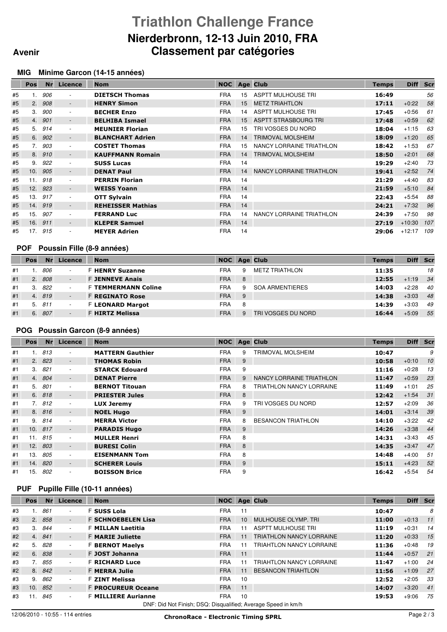# **Avenir**

# **Triathlon Challenge France Nierderbronn, 12-13 Juin 2010, FRA Classement par catégories**

# **MIG Minime Garcon (14-15 années)**

|    | Pos | Nr      | <b>Licence</b>           | <b>Nom</b>               | <b>NOC</b> Age Club |    |                             | <b>Temps</b> | <b>Diff</b> | <b>Scr</b> |
|----|-----|---------|--------------------------|--------------------------|---------------------|----|-----------------------------|--------------|-------------|------------|
| #5 |     | 906     | $\overline{\phantom{a}}$ | <b>DIETSCH Thomas</b>    | <b>FRA</b>          | 15 | <b>ASPTT MULHOUSE TRI</b>   | 16:49        |             | 56         |
| #5 |     | 2. 908  | $\overline{\phantom{a}}$ | <b>HENRY Simon</b>       | <b>FRA</b>          | 15 | <b>METZ TRIAHTLON</b>       | 17:11        | $+0:22$     | 58         |
| #5 | 3.  | 900     | $\sim$                   | <b>BECHER Enzo</b>       | <b>FRA</b>          | 14 | <b>ASPTT MULHOUSE TRI</b>   | 17:45        | $+0:56$     | 61         |
| #5 |     | 4. 901  | $\overline{\phantom{a}}$ | <b>BELHIBA Ismael</b>    | <b>FRA</b>          | 15 | <b>ASPTT STRASBOURG TRI</b> | 17:48        | $+0:59$     | 62         |
| #5 | 5.  | 914     | $\sim$                   | <b>MEUNIER Florian</b>   | <b>FRA</b>          | 15 | TRI VOSGES DU NORD          | 18:04        | $+1:15$     | 63         |
| #5 | 6.  | 902     | $\overline{\phantom{a}}$ | <b>BLANCHART Adrien</b>  | <b>FRA</b>          | 14 | <b>TRIMOVAL MOLSHEIM</b>    | 18:09        | $+1:20$     | 65         |
| #5 | 7.  | 903     | $\overline{\phantom{a}}$ | <b>COSTET Thomas</b>     | <b>FRA</b>          | 15 | NANCY LORRAINE TRIATHLON    | 18:42        | $+1:53$     | 67         |
| #5 |     | 8. 910  | $\overline{\phantom{a}}$ | <b>KAUFFMANN Romain</b>  | <b>FRA</b>          | 14 | <b>TRIMOVAL MOLSHEIM</b>    | 18:50        | $+2:01$     | 68         |
| #5 | 9.  | 922     | $\overline{\phantom{a}}$ | <b>SUSS Lucas</b>        | <b>FRA</b>          | 14 |                             | 19:29        | $+2:40$     | 73         |
| #5 | 10. | 905     | $\overline{\phantom{a}}$ | <b>DENAT Paul</b>        | <b>FRA</b>          | 14 | NANCY LORRAINE TRIATHLON    | 19:41        | $+2:52$     | 74         |
| #5 | 11. | 918     | $\sim$                   | <b>PERRIN Florian</b>    | <b>FRA</b>          | 14 |                             | 21:29        | $+4:40$     | 83         |
| #5 | 12. | 923     | $\overline{\phantom{a}}$ | <b>WEISS Yoann</b>       | <b>FRA</b>          | 14 |                             | 21:59        | $+5:10$     | 84         |
| #5 | 13. | 917     | $\overline{\phantom{a}}$ | <b>OTT Sylvain</b>       | <b>FRA</b>          | 14 |                             | 22:43        | $+5:54$     | 88         |
| #5 |     | 14. 919 | $\overline{\phantom{a}}$ | <b>REHEISSER Mathias</b> | <b>FRA</b>          | 14 |                             | 24:21        | $+7:32$     | 96         |
| #5 | 15. | 907     | $\sim$                   | <b>FERRAND Luc</b>       | <b>FRA</b>          | 14 | NANCY LORRAINE TRIATHLON    | 24:39        | $+7:50$     | 98         |
| #5 |     | 16. 911 | $\overline{\phantom{a}}$ | <b>KLEPER Samuel</b>     | <b>FRA</b>          | 14 |                             | 27:19        | $+10:30$    | 107        |
| #5 | 17. | 915     | $\overline{\phantom{a}}$ | <b>MEYER Adrien</b>      | <b>FRA</b>          | 14 |                             | 29:06        | $+12:17$    | 109        |

### **POF Poussin Fille (8-9 années)**

|    | Pos | <b>Nr</b> | Licence                  | <b>Nom</b>                 |            |   | <b>NOC</b> Age Club   | <b>Temps</b> | <b>Diff</b> | - Scr |
|----|-----|-----------|--------------------------|----------------------------|------------|---|-----------------------|--------------|-------------|-------|
| #1 |     | 806       | $\overline{\phantom{a}}$ | <b>F HENRY Suzanne</b>     | FRA        |   | <b>METZ TRIATHLON</b> | 11:35        |             | 18    |
| #1 |     | 2. 808    | $\sim$                   | <b>F JENNEVE Anais</b>     | <b>FRA</b> | 8 |                       | 12:55        | $+1:19$     | 34    |
| #1 |     | 3.822     | $\overline{\phantom{a}}$ | <b>F TEMMERMANN Coline</b> | FRA        |   | SOA ARMENTIERES       | 14:03        | $+2:28$     | - 40  |
| #1 |     | 4. 819    | $\overline{\phantom{a}}$ | <b>F REGINATO Rose</b>     | <b>FRA</b> | 9 |                       | 14:38        | $+3:03$     | 48    |
| #1 |     | 5. 811    | $\overline{\phantom{a}}$ | F LEONARD Margot           | FRA        | 8 |                       | 14:39        | $+3:03$     | - 49  |
| #1 | 6.  | 807       | $\overline{\phantom{a}}$ | <b>F HIRTZ Melissa</b>     | <b>FRA</b> |   | TRI VOSGES DU NORD    | 16:44        | $+5:09$     | 55    |

#### **POG Poussin Garcon (8-9 années)**

|    | <b>Pos</b> | <b>Nr</b> | <b>Licence</b>           | <b>Nom</b>              | <b>NOC</b> Age Club |   |                           | Temps | <b>Diff</b> | <b>Scr</b> |
|----|------------|-----------|--------------------------|-------------------------|---------------------|---|---------------------------|-------|-------------|------------|
| #1 |            | 813       | $\overline{\phantom{a}}$ | <b>MATTERN Gauthier</b> | <b>FRA</b>          | 9 | TRIMOVAL MOLSHEIM         | 10:47 |             | 9          |
| #1 |            | 2. 823    | $\sim$                   | <b>THOMAS Robin</b>     | <b>FRA</b>          | 9 |                           | 10:58 | $+0:10$     | 10         |
| #1 | 3.         | 821       | $\sim$                   | <b>STARCK Edouard</b>   | <b>FRA</b>          | 9 |                           | 11:16 | $+0:28$     | 13         |
| #1 | 4.         | 804       | $\sim$                   | <b>DENAT Pierre</b>     | <b>FRA</b>          | 9 | NANCY LORRAINE TRIATHLON  | 11:47 | $+0:59$     | 23         |
| #1 | 5.         | 801       | $\sim$                   | <b>BERNOT Titouan</b>   | <b>FRA</b>          | 8 | TRIATHLON NANCY LORRAINE  | 11:49 | $+1:01$     | 25         |
| #1 |            | 6. 818    | $\sim$                   | <b>PRIESTER Jules</b>   | <b>FRA</b>          | 8 |                           | 12:42 | $+1:54$     | 31         |
| #1 |            | 7. 812    | $\sim$                   | <b>LUX Jeremy</b>       | <b>FRA</b>          | 9 | TRI VOSGES DU NORD        | 12:57 | $+2:09$     | 36         |
| #1 |            | 8. 816    | $\sim$                   | <b>NOEL Hugo</b>        | <b>FRA</b>          | 9 |                           | 14:01 | $+3:14$     | 39         |
| #1 | 9.         | 814       | $\sim$                   | <b>MERRA Victor</b>     | <b>FRA</b>          | 8 | <b>BESANCON TRIATHLON</b> | 14:10 | $+3:22$     | 42         |
| #1 |            | 10. 817   | $\sim$                   | <b>PARADIS Hugo</b>     | <b>FRA</b>          | 9 |                           | 14:26 | $+3:38$     | 44         |
| #1 | 11.        | 815       | $\overline{\phantom{a}}$ | <b>MULLER Henri</b>     | <b>FRA</b>          | 8 |                           | 14:31 | $+3:43$     | 45         |
| #1 | 12.        | 803       | $\sim$                   | <b>BURESI Colin</b>     | <b>FRA</b>          | 8 |                           | 14:35 | $+3:47$     | 47         |
| #1 | 13.        | 805       | $\sim$                   | <b>EISENMANN Tom</b>    | <b>FRA</b>          | 8 |                           | 14:48 | $+4:00$     | 51         |
| #1 | 14.        | 820       | $\sim$                   | <b>SCHERER Louis</b>    | <b>FRA</b>          | 9 |                           | 15:11 | $+4:23$     | 52         |
| #1 | 15.        | 802       | $\overline{\phantom{a}}$ | <b>BOISSON Brice</b>    | <b>FRA</b>          | 9 |                           | 16:42 | $+5:54$     | 54         |

## **PUF Pupille Fille (10-11 années)**

|    | <b>Pos</b> | Nr     | <b>Licence</b>           | <b>Nom</b>                                                    |            |    | <b>NOC</b> Age Club             | <b>Temps</b> | <b>Diff</b> | <b>Scr</b> |
|----|------------|--------|--------------------------|---------------------------------------------------------------|------------|----|---------------------------------|--------------|-------------|------------|
| #3 | 1.         | 861    | $\overline{\phantom{a}}$ | <b>F SUSS Lola</b>                                            | <b>FRA</b> | 11 |                                 | 10:47        |             | 8          |
| #3 |            | 2. 858 | $\overline{\phantom{a}}$ | <b>F SCHNOEBELEN Lisa</b>                                     | <b>FRA</b> | 10 | MULHOUSE OLYMP. TRI             | 11:00        | $+0:13$     | 11         |
| #3 | 3.         | 844    | $\overline{\phantom{a}}$ | <b>F MILLAN Laetitia</b>                                      | <b>FRA</b> | 11 | <b>ASPTT MULHOUSE TRI</b>       | 11:19        | $+0:31$     | 14         |
| #2 |            | 4. 841 | $\overline{\phantom{a}}$ | <b>F MARIE Juliette</b>                                       | <b>FRA</b> | 11 | <b>TRIATHLON NANCY LORRAINE</b> | 11:20        | $+0:33$     | 15         |
| #2 |            | 5. 828 | $\overline{\phantom{a}}$ | <b>F BERNOT Maelys</b>                                        | <b>FRA</b> | 11 | <b>TRIAHTLON NANCY LORRAINE</b> | 11:36        | $+0:48$     | 19         |
| #2 |            | 6. 838 | $\overline{\phantom{a}}$ | F JOST Johanna                                                | <b>FRA</b> | 11 |                                 | 11:44        | $+0:57$     | 21         |
| #3 | 7.         | 855    | $\overline{\phantom{a}}$ | <b>F RICHARD Luce</b>                                         | <b>FRA</b> | 11 | <b>TRIAHTLON NANCY LORRAINE</b> | 11:47        | $+1:00$     | 24         |
| #2 |            | 8. 842 | $\overline{\phantom{a}}$ | <b>F MERRA Julie</b>                                          | <b>FRA</b> | 11 | <b>BESANCON TRIAHTLON</b>       | 11:56        | $+1:09$     | 27         |
| #3 | 9.         | 862    | $\overline{\phantom{a}}$ | <b>F ZINT Melissa</b>                                         | <b>FRA</b> | 10 |                                 | 12:52        | $+2:05$     | -33        |
| #3 |            | 10.852 | $\overline{\phantom{a}}$ | <b>F PROCUREUR Oceane</b>                                     | <b>FRA</b> | 11 |                                 | 14:07        | $+3:20$     | 41         |
| #3 | 11.        | 845    | $\overline{\phantom{a}}$ | <b>F MILLIERE Aurianne</b>                                    | <b>FRA</b> | 10 |                                 | 19:53        | $+9:06$     | 75         |
|    |            |        |                          | DNF: Did Not Finish; DSQ: Disqualified; Average Speed in km/h |            |    |                                 |              |             |            |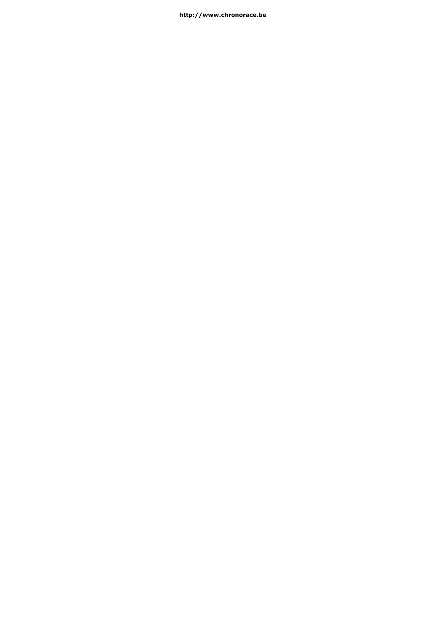http://www.chronorace.be